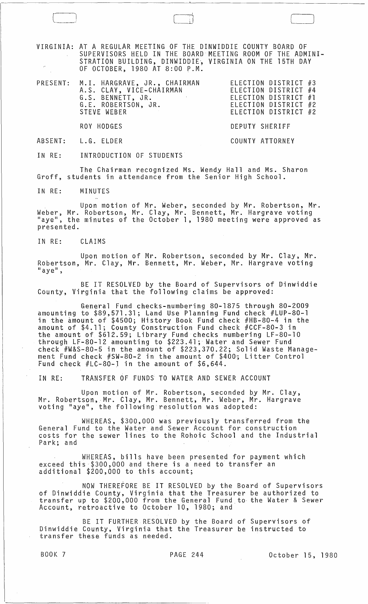VIRGINIA: AT A REGULAR MEETING OF THE DINWIDDIE COUNTY BOARD OF SUPERVISORS HELD IN THE BOARD MEETING ROOM OF THE ADMINI-STRATION BUILDING, DINWIDDIE~ VIRGINIA ON THE 15TH DAY OF OCTOBER, 1980 AT 8:00 P.M.

| PRESENT: M.I. HARGRAVE, JR., CHAIRMAN |  | ELECTION DISTRICT #3 |  |
|---------------------------------------|--|----------------------|--|
| A.S. CLAY, VICE-CHAIRMAN              |  | ELECTION DISTRICT #4 |  |
| G.S. BENNETT, JR.                     |  | ELECTION DISTRICT #1 |  |
| G.E. ROBERTSON, JR.                   |  | ELECTION DISTRICT #2 |  |
| STEVE WEBER                           |  | ELECTION DISTRICT #2 |  |
|                                       |  |                      |  |

DEPUTY SHERIFF

COUNTY ATTORNEY

ROY HODGES

ABSENT: L.G. ELDER

IN RE: INTRODUCTION OF STUDENTS

The Chairman recognized Ms. Wendy Hall and Ms. Sharon Groff, students in attendance from the Senior High School.

IN RE: MINUTES

Upon motion of Mr. Weber, seconded by Mr. Robertson, Mr. Weber, Mr. Robertson, Mr. Clay, Mr. Bennett, Mr. Hargrave voting "aye", the minutes of the October 1, 1980 meeting were approved as presented.

IN RE: CLAIMS

Upon motion of Mr. Robertson, seconded by Mr. Clay, Mr. Robertson, Mr. Clay, Mr. Bennett, Mr. Weber, Mr. Hargrave voting<br>"aye",

BE IT RESOLVED by the Board of Supervisors of Dinwiddie County, Virginia that the following claims be approved:

General Fund checks-numbering 80-1875 through 80-2009 amounting to \$89,571.31; Land Use Planning Fund check #LUP-80-1 in the amount of \$4500; History Book Fund check #HB-80-4 in the amount of \$4.11; County Construction Fund check #CCF-80-3 in the amount of \$612.59; Library Fund checks numbering LF-80-10 through LF-80-12 amounting to \$223.41; Water and Sewer Fund check #W&S-80-5 in the amount of \$223,370.22; Solid Waste Management Fund check #SW-80-2 in the amount of \$400'; Litter Control Fund check #LC-80-J in the amount of \$6,644.

IN RE: TRANSFER OF FUNDS TO WATER AND SEWER ACCOUNT

Upon motion of Mr. Robertson, seconded by Mr. Clay, Mr. Robertson, Mr. Clay, Mr. Bennett, Mr. Weber, Mr. Hargrave<br>voting "aye", the following resolution was adopted:

WHEREAS, \$300,000 was previously transferred from the General Fund to the Water and Sewer Account for construction costs for the sewer lines to the Rohoic School and the Industrial Park; and

WHEREAS, bills have been presented for payment which exceed this \$300,000 and there is a need to transfer an additional \$200,000 to this account;

NOW THEREFORE BE IT RESOLVED by the Board of Supervisors of Dinwiddie County, Virginia that the Treasurer be authorized to transfer up to \$200,000 from the General Fund,to the Water & Sewer Account, retroactive to October 10, 1980; and

BE IT FURTHER RESOLVED by the Board of Supervisors of Dinwiddie County, Virginia that the Treasurer be instructed to transfer these funds as needed.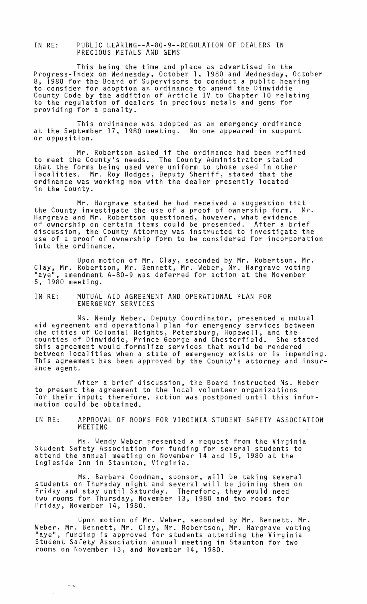IN RE: PUBLIC HEARING--A-80-9--REGULATION OF DEALERS IN PRECIOUS METALS AND GEMS

This being the time and place as advertised in the Progress-Index on Wednesday, October 1, 1980 and Wednesday, October 8, 1980 for the Board of Supervisors to conduct a public hearing to consider for adoption an ordinance to amend the Dinwiddie County Code by the addition of Article IV to Chapter 10 relating to the regulation of dealers in precious metals and gems for providing for a penalty.

This ordinance was adopted as an emergency ordinance at the September 17, 1980 meeting. No one appeared in support or opposition.

Mr. Robertson asked if the ordinance had been refined to meet the County's needs. The County Administrator stated that the forms being used were uniform to those used in other 10calities. Mr. Roy Hodges, Deputy Sheriff, stated that the ordinance was working now with the dealer presently located in the County.

Mr. Hargrave stated he had received a suggestion that the County investigate the use of a proof of ownership form. Mr. Hargrave and Mr. Robertson questioned, however, what evidence of ownership on certain items could be presented. After a brief discussion, the County Attorney was instructed to investigate the use of a proof of ownership form to be considered for incorporation into the ordinance.

Upon motion of Mr. Clay, seconded by Mr. Robertson, Mr. Clay, Mr. Robertson, Mr. Bennett, Mr., Weber, Mr. Hargrave voting Haye H, amendment A-80-9 was deferred for action at the November 5, 1980 meeting.

## IN RE: MUTUAL AID AGREEMENT AND OPERATIONAL PLAN FOR EMERGENCY SERVICES

Ms. Wendy Weber, Deputy Coordinator, presented a mutual aid agreement and operational plan for emergency services between the cities of Colonial Heights, Petersburg, Hopewell, and the counties of Dinwiddie, Prince George and Chesterfield. She stated this agreement would formalize services that would be rendered between localities when a state of emergency exists or is impending. This agreement has been approved by the County's attorney and insurance agent.

After a brief discussion, the Board instructed Ms. Weber to present the agreement to the local volunteer organizations for their input; therefore, action was postponed until this information could be obtained.

IN RE: APPROVAL OF ROOMS FOR VIRGINIA STUDENT SAFETY ASSOCIATION MEETING

Ms. Wendy Weber presented a request from the Virginia Student Safety Association for funding for several students to attend the annual meeting on November 14 and 15, 1980 at the Ingleside Inn in Staunton, Virginia.

Ms. Barbara Goodman, sponsor, will be taking several students on Thursday night and several will be joining them on Friday and stay until Saturday. Therefore, they would need two rooms for Thursday, November 13, 1980 and two rooms for Friday, November 14, 1980.

Upon motion of Mr. Weber, seconded by Mr. Bennett, Mr. Weber, Mr. Bennett, Mr. Clay, Mr. Robertson, Mr. Hargrave voting weber, Ar. Bennett, Ar. Clay, Ar. Robertson, Ar. Aargrave votin<br>"aye", funding is approved for students attending the Virginia Student Safety Association annual meeting in Staunton for two rooms on November 13, and November 14, 1980.

 $\sim$   $\sim$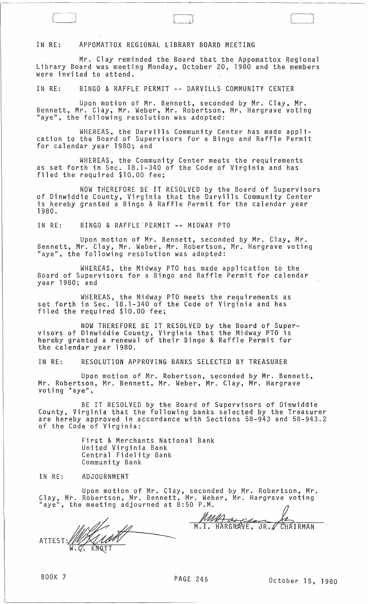## IN RE: APPOMATTOX REGIONAL LIBRARY BOARD MEETING

 $\sqrt{r}$ 

Mr. Clay reminded the Board that the Appomattox Regional Library Board was meeting Monday, October 20, 1980 and the members were invited to attend."

------------------------------------~----~~--~~---------------------------------

IN RE: BINGO & RAFFLE PERMIT **--** DARVILLS COMMUNITY CENTER

Upon motion of Mr. Bennett, seconded by Mr. Clay, Mr. Bennett, Mr. Clay, Mr. Weber, Mr. Robertson, Mr. Hargrave voting "aye", the following resolution was adopted:

WHEREAS, the Darvi11s Community Center has made appli- cation to the Board of Supervisors for a Bingo and Raffle Permit for calendar year 1980; and

WHEREAS, the Community Center meets the requirements as set forth in Sec. 18.1-340 of the Code of Virginia and has filed the required \$10.00 fee;

NOW THEREFORE BE IT RESOLVED by the Board of Supervisors of Dinwiddie County, Virginia that the Darvills Community Center is hereby granted a Bingo & Raffle Permi't for the calendar year 1980.

IN RE: BINGO & RAFFLE'PERMIT **--** MIDWAY PTO

Upon motion of Mr. Bennett, seconded by Mr. Clay, Mr. Bennett, Mr. Clay, Mr. Weber, Mr. Robertson, Mr. Hargrave voting "aye", the following resolution was adopted:

WHEREAS, the Midway PTO has made application to the Board of Supervisors for a Bingo and Raffle Permit for calendar year 1980; and

WHEREAS, the Midway PTO meets the requirements as set forth in Sec. 18.1-340 of the Code of Virginia and has filed the required \$10.00 fee;

NOW THEREFORE BE IT RESOLVED by the Board of Supervisors of Dinwiddie County, Virginia that the Midway PTO is hereby granted a renewal of their Bingo & Raffle Permit for the calendar year 1980.

IN RE: RESOLUTION APPROVING BANKS SELECTED BY TREASURER

Upon motion of Mr. Robertson, seconded by Mr. Bennett, Mr. Robertson, Mr. Bennett, Mr. Weber, Mr. Clay, Mr. Hargrave<br>voting "aye",

BE IT RESOLVED by the Board of Supervisors of Dinwiddie County, Virginia that the following banks selected by the Treasurer are hereby approved in accordance with Sections 58-943 and 58-943.2 of the Code of Virginia:

> First & Merchants National Bank United Virginia Bank Central Fidelity Bank Community Bank

IN RE: ADJOURNMENT

Upon motion of Mr. Clay, seconded by Mr. Robertson, Mr. Clay, Mr. Robertson. Mr. Bennett. Mr. Weber. Mr. Hargrave voting

------- ATTEST: .  $W$  $W$ ,  $V$ ,  $W$   $W$   $V$ 

WALL CONTROLL CHAIRMAN